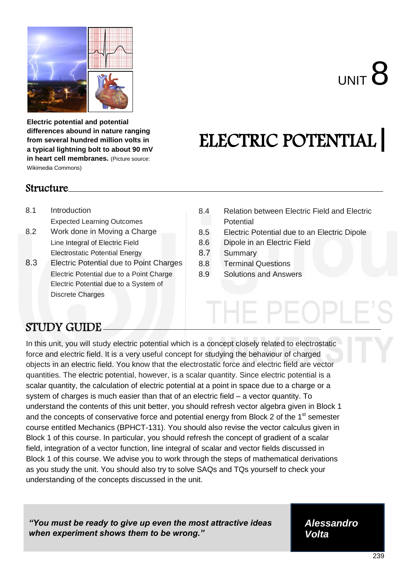

**Electric potential and potential differences abound in nature ranging from several hundred million volts in a typical lightning bolt to about 90 mV in heart cell membranes.** (Picture source: Wikimedia Commons)

# ELECTRIC POTENTIAL

#### Structure

- 8.1 Introduction Expected Learning Outcomes
- 8.2 Work done in Moving a Charge Line Integral of Electric Field Electrostatic Potential Energy
- 8.3 Electric Potential due to Point Charges<br>
Electric Potential due to a Point Charge Electric Potential due to a System of Discrete Charges
- 8.4 Relation between Electric Field and Electric **Potential**
- 8.5 Electric Potential due to an Electric Dipole
- 8.6 Dipole in an Electric Field
- 8.7 Summary
- 8.8 Terminal Questions
- 8.9 Solutions and Answers

# STUDY GUIDE

In this unit, you will study electric potential which is a concept closely related to electrostatic force and electric field. It is a very useful concept for studying the behaviour of charged objects in an electric field. You know that the electrostatic force and electric field are vector quantities. The electric potential, however, is a scalar quantity. Since electric potential is a scalar quantity, the calculation of electric potential at a point in space due to a charge or a system of charges is much easier than that of an electric field – a vector quantity. To understand the contents of this unit better, you should refresh vector algebra given in Block 1 and the concepts of conservative force and potential energy from Block 2 of the 1<sup>st</sup> semester course entitled Mechanics (BPHCT-131). You should also revise the vector calculus given in Block 1 of this course. In particular, you should refresh the concept of gradient of a scalar field, integration of a vector function, line integral of scalar and vector fields discussed in Block 1 of this course. We advise you to work through the steps of mathematical derivations as you study the unit. You should also try to solve SAQs and TQs yourself to check your understanding of the concepts discussed in the unit.

*"You must be ready to give up even the most attractive ideas when experiment shows them to be wrong."*

*Alessandro Volta*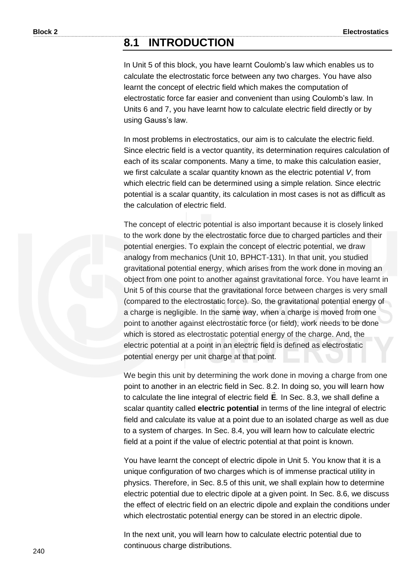## **8.1 INTRODUCTION**

In Unit 5 of this block, you have learnt Coulomb's law which enables us to calculate the electrostatic force between any two charges. You have also learnt the concept of electric field which makes the computation of electrostatic force far easier and convenient than using Coulomb's law. In Units 6 and 7, you have learnt how to calculate electric field directly or by using Gauss's law.

In most problems in electrostatics, our aim is to calculate the electric field. Since electric field is a vector quantity, its determination requires calculation of each of its scalar components. Many a time, to make this calculation easier, we first calculate a scalar quantity known as the electric potential *V*, from which electric field can be determined using a simple relation. Since electric potential is a scalar quantity, its calculation in most cases is not as difficult as the calculation of electric field.

The concept of electric potential is also important because it is closely linked to the work done by the electrostatic force due to charged particles and their potential energies. To explain the concept of electric potential, we draw analogy from mechanics (Unit 10, BPHCT-131). In that unit, you studied gravitational potential energy, which arises from the work done in moving an object from one point to another against gravitational force. You have learnt in Unit 5 of this course that the gravitational force between charges is very small (compared to the electrostatic force). So, the gravitational potential energy of a charge is negligible. In the same way, when a charge is moved from one point to another against electrostatic force (or field), work needs to be done which is stored as electrostatic potential energy of the charge. And, the electric potential at a point in an electric field is defined as electrostatic potential energy per unit charge at that point.

We begin this unit by determining the work done in moving a charge from one point to another in an electric field in Sec. 8.2. In doing so, you will learn how to calculate the line integral of electric field **E**. In Sec. 8.3, we shall define a scalar quantity called **electric potential** in terms of the line integral of electric field and calculate its value at a point due to an isolated charge as well as due to a system of charges. In Sec. 8.4, you will learn how to calculate electric field at a point if the value of electric potential at that point is known.

You have learnt the concept of electric dipole in Unit 5. You know that it is a unique configuration of two charges which is of immense practical utility in physics. Therefore, in Sec. 8.5 of this unit, we shall explain how to determine electric potential due to electric dipole at a given point. In Sec. 8.6, we discuss the effect of electric field on an electric dipole and explain the conditions under which electrostatic potential energy can be stored in an electric dipole.

In the next unit, you will learn how to calculate electric potential due to continuous charge distributions.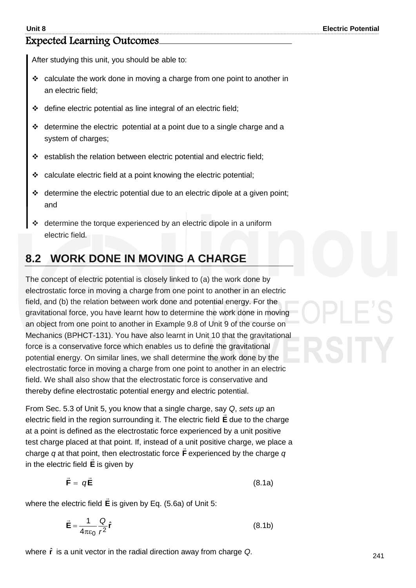#### Expected Learning Outcomes

After studying this unit, you should be able to:

- $\cdot$  calculate the work done in moving a charge from one point to another in an electric field;
- $\triangleleft$  define electric potential as line integral of an electric field;
- $\triangleleft$  determine the electric potential at a point due to a single charge and a system of charges;
- establish the relation between electric potential and electric field;
- calculate electric field at a point knowing the electric potential;
- determine the electric potential due to an electric dipole at a given point; and
- determine the torque experienced by an electric dipole in a uniform electric field.

# **8.2 WORK DONE IN MOVING A CHARGE**

The concept of electric potential is closely linked to (a) the work done by electrostatic force in moving a charge from one point to another in an electric field, and (b) the relation between work done and potential energy. For the gravitational force, you have learnt how to determine the work done in moving an object from one point to another in Example 9.8 of Unit 9 of the course on Mechanics (BPHCT-131). You have also learnt in Unit 10 that the gravitational force is a conservative force which enables us to define the gravitational potential energy. On similar lines, we shall determine the work done by the electrostatic force in moving a charge from one point to another in an electric field. We shall also show that the electrostatic force is conservative and thereby define electrostatic potential energy and electric potential.

From Sec. 5.3 of Unit 5, you know that a single charge, say *Q*, *sets up* an electric field in the region surrounding it. The electric field **E** due to the charge at a point is defined as the electrostatic force experienced by a unit positive test charge placed at that point. If, instead of a unit positive charge, we place a charge *q* at that point, then electrostatic force **F**  $\overline{\phantom{a}}$ nt, then electrostatic force **F** experienced by the charge *q* in the electric field **E** is given by

$$
\vec{\mathbf{F}} = q\vec{\mathbf{E}} \tag{8.1a}
$$

where the electric field **E**  $\rightarrow$ is given by Eq. (5.6a) of Unit 5:

$$
\vec{\mathbf{E}} = \frac{1}{4\pi\epsilon_0} \frac{Q}{r^2} \hat{\mathbf{r}} \tag{8.1b}
$$

where **r** ˆ is a unit vector in the radial direction away from charge *Q*.

241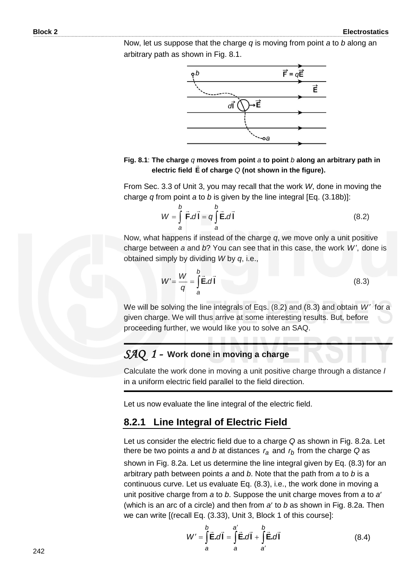Now, let us suppose that the charge *q* is moving from point *a* to *b* along an arbitrary path as shown in Fig. 8.1.



**Fig. 8.1**: **The charge** *q* **moves from point** *a* **to point** *b* **along an arbitrary path in electric field E of charge** *Q* **(not shown in the figure).** 

From Sec. 3.3 of Unit 3, you may recall that the work *W*, done in moving the charge *q* from point *a* to *b* is given by the line integral [Eq. (3.18b)]:

$$
W = \int_{a}^{b} \vec{F} \cdot d\vec{l} = q \int_{a}^{b} \vec{E} \cdot d\vec{l}
$$
 (8.2)

Now, what happens if instead of the charge *q*, we move only a unit positive charge between *a* and *b*? You can see that in this case, the work *W* , done is obtained simply by dividing *W* by *q*, i.e.,

$$
W' = \frac{W}{q} = \int_{a}^{b} \vec{E} \cdot d\vec{l}
$$
 (8.3)

We will be solving the line integrals of Eqs. (8.2) and (8.3) and obtain W' for a given charge. We will thus arrive at some interesting results. But, before proceeding further, we would like you to solve an SAQ.

#### *SAQ 1 -* **Work done in moving a charge**

Calculate the work done in moving a unit positive charge through a distance *l*  in a uniform electric field parallel to the field direction.

Let us now evaluate the line integral of the electric field.

#### **8.2.1 Line Integral of Electric Field**

Let us consider the electric field due to a charge *Q* as shown in Fig. 8.2a. Let there be two points *a* and *b* at distances *ra* and *rb* from the charge *Q* as

shown in Fig. 8.2a. Let us determine the line integral given by Eq. (8.3) for an arbitrary path between points *a* and *b*. Note that the path from *a* to *b* is a continuous curve. Let us evaluate Eq. (8.3), i.e., the work done in moving a unit positive charge from *a* to *b*. Suppose the unit charge moves from *a* to *a* (which is an arc of a circle) and then from *a* to *b* as shown in Fig. 8.2a. Then we can write [(recall Eq. (3.33), Unit 3, Block 1 of this course]:

$$
W' = \int_{a}^{b} \vec{E} \cdot d\vec{l} = \int_{a}^{a'} \vec{E} \cdot d\vec{l} + \int_{a'}^{b} \vec{E} \cdot d\vec{l}
$$
 (8.4)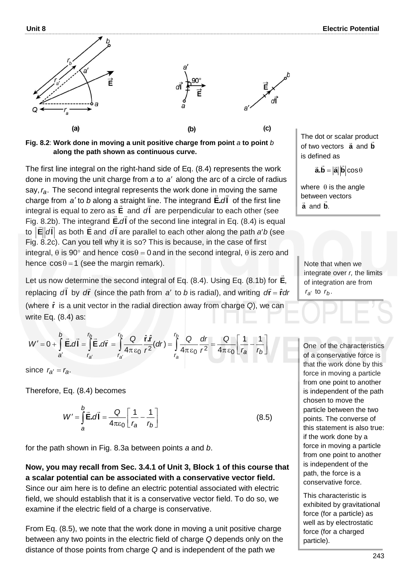

**Fig. 8.2**: **Work done in moving a unit positive charge from point** *a* **to point** *b* **along the path shown as continuous curve.** 

The first line integral on the right-hand side of Eq. (8.4) represents the work done in moving the unit charge from a to a' along the arc of a circle of radius say,  $r_a$ . The second integral represents the work done in moving the same charge from a' to *b* along a straight line. The integrand **E**.dl of the first line integral is equal to zero as **E** and **l** *d* are perpendicular to each other (see Fig. 8.2b). The integrand **E.dl** of the second line integral in Eq. (8.4) is equal  $\frac{d}{dt}$ to  $|\mathbf{E}|d\mathbf{l}|$  as both **E** and *d*l are parallel to each other along the path *a' b* (see Fig. 8.2c). Can you tell why it is so? This is because, in the case of first integral,  $\theta$  is 90° and hence  $cos\theta = 0$  and in the second integral,  $\theta$  is zero and hence  $cos \theta = 1$  (see the margin remark).

Let us now determine the second integral of Eq. (8.4). Using Eq. (8.1b) for **E**,  $\rightarrow$ replacing  $d\vec{l}$  by  $d\vec{r}$  (since the path from a' to b is radial), and writing  $d\vec{r} = \hat{r}dr$  $\frac{1}{2}$ (where **r** ˆ is a unit vector in the radial direction away from charge *Q*), we can write Eq. (8.4) as:

$$
W'=0+\int_{a'}^{b'}\vec{E}.\vec{d}\vec{l}=\int_{r_{a'}}^{r_b}\vec{E}.\vec{d}\vec{r}=\int_{r_{a'}}^{r_b}\frac{Q}{4\pi\epsilon_0}\frac{\hat{r}.\hat{r}}{r^2}(dr)=\int_{r_a}^{r_b}\frac{Q}{4\pi\epsilon_0}\frac{dr}{r^2}=\frac{Q}{4\pi\epsilon_0}\left[\frac{1}{r_a}-\frac{1}{r_b}\right]
$$

since  $r_{a'} = r_a$ .

Therefore, Eq. (8.4) becomes

$$
W' = \int_{a}^{b} \vec{E} \cdot d\vec{l} = \frac{Q}{4\pi\epsilon_0} \left[ \frac{1}{r_a} - \frac{1}{r_b} \right]
$$
 (8.5)

for the path shown in Fig. 8.3a between points *a* and *b*.

**Now, you may recall from Sec. 3.4.1 of Unit 3, Block 1 of this course that a scalar potential can be associated with a conservative vector field.** Since our aim here is to define an electric potential associated with electric field, we should establish that it is a conservative vector field. To do so, we examine if the electric field of a charge is conservative.

From Eq. (8.5), we note that the work done in moving a unit positive charge between any two points in the electric field of charge *Q* depends only on the distance of those points from charge *Q* and is independent of the path we

The dot or scalar product of two vectors **a** and **b**  $\ddot{ }$ is defined as

 $\vec{a} \cdot \vec{b} = |\vec{a}| |\vec{b}| \cos \theta$ 

where  $\theta$  is the angle between vectors **a** and **b**. !!<br>−

Note that when we integrate over *r,* the limits of integration are from  $r_{a'}$  to  $r_b$ .

One of the characteristics of a conservative force is that the work done by this force in moving a particle from one point to another is independent of the path chosen to move the particle between the two points. The converse of this statement is also true: if the work done by a force in moving a particle from one point to another is independent of the path, the force is a conservative force.

This characteristic is exhibited by gravitational force (for a particle) as well as by electrostatic force (for a charged particle).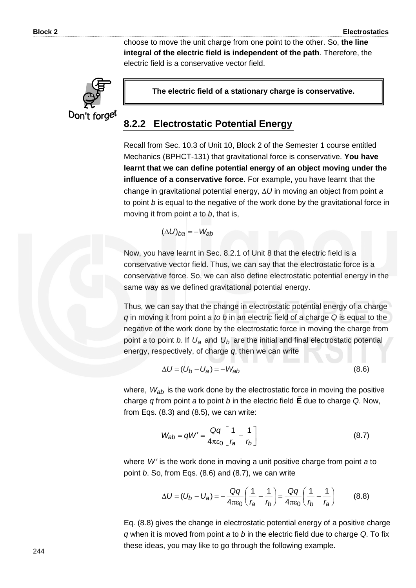choose to move the unit charge from one point to the other. So, **the line integral of the electric field is independent of the path**. Therefore, the electric field is a conservative vector field.



**The electric field of a stationary charge is conservative.**

#### **8.2.2 Electrostatic Potential Energy**

Recall from Sec. 10.3 of Unit 10, Block 2 of the Semester 1 course entitled Mechanics (BPHCT-131) that gravitational force is conservative. **You have learnt that we can define potential energy of an object moving under the influence of a conservative force.** For example, you have learnt that the change in gravitational potential energy,  $\Delta U$  in moving an object from point *a* to point *b* is equal to the negative of the work done by the gravitational force in moving it from point *a* to *b*, that is,

$$
(\Delta U)_{ba} = -W_{ab}
$$

Now, you have learnt in Sec. 8.2.1 of Unit 8 that the electric field is a conservative vector field. Thus, we can say that the electrostatic force is a conservative force. So, we can also define electrostatic potential energy in the same way as we defined gravitational potential energy.

Thus, we can say that the change in electrostatic potential energy of a charge *q* in moving it from point *a to b* in an electric field of a charge *Q* is equal to the negative of the work done by the electrostatic force in moving the charge from point *a* to point *b*. If  $U_a$  and  $U_b$  are the initial and final electrostatic potential energy, respectively, of charge *q*, then we can write

$$
\Delta U = (U_b - U_a) = -W_{ab} \tag{8.6}
$$

where,  $W_{ab}$  is the work done by the electrostatic force in moving the positive charge *q* from point *a* to point *b* in the electric field **E** due to charge *Q*. Now, from Eqs. (8.3) and (8.5), we can write:

$$
W_{ab} = qW' = \frac{Qq}{4\pi\epsilon_0} \left[ \frac{1}{r_a} - \frac{1}{r_b} \right]
$$
 (8.7)

where W' is the work done in moving a unit positive charge from point a to point *b*. So, from Eqs. (8.6) and (8.7), we can write

$$
\Delta U = (U_b - U_a) = -\frac{Qq}{4\pi\epsilon_0} \left(\frac{1}{r_a} - \frac{1}{r_b}\right) = \frac{Qq}{4\pi\epsilon_0} \left(\frac{1}{r_b} - \frac{1}{r_a}\right) \tag{8.8}
$$

Eq. (8.8) gives the change in electrostatic potential energy of a positive charge *q* when it is moved from point *a* to *b* in the electric field due to charge *Q*. To fix these ideas, you may like to go through the following example.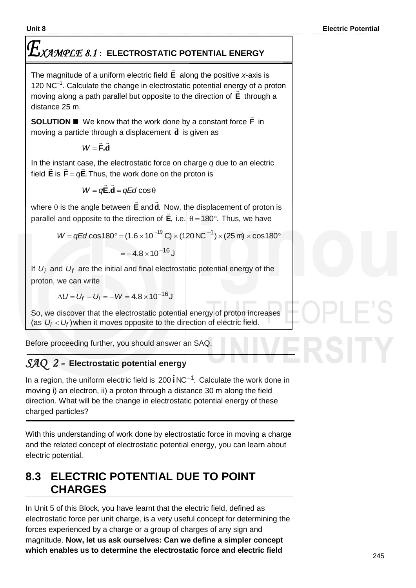# *XAMPLE 8.1* **: ELECTROSTATIC POTENTIAL ENERGY**

The magnitude of a uniform electric field **E**  $\rightarrow$ along the positive *x*-axis is 120  $NC^{-1}$ . Calculate the change in electrostatic potential energy of a proton moving along a path parallel but opposite to the direction of **E** through a distance 25 m.

**SOLUTION We know that the work done by a constant force F**  $\overline{\phantom{a}}$ ie by a constant force **F** in moving a particle through a displacement **d** is given as

> **d.F**  $\pm$   $\pm$ *W*

In the instant case, the electrostatic force on charge *q* due to an electric<br> $\vec{r}$  =  $\vec{r}$  =  $\vec{r}$  =  $\vec{r}$ field  $\boldsymbol{\mathsf{E}}$  is  $\boldsymbol{\mathsf{F}}$  =  $q\boldsymbol{\mathsf{E}}$ . Thus, the work done on the proton is

$$
W = q\vec{E}.\vec{d} = qEd\cos\theta
$$

where  $\theta$  is the angle between  $\bm{\mathsf{E}}$  $\rightarrow$ and **d**.  $\overline{a}$ Now, the displacement of proton is parallel and opposite to the direction of **E**,  $\overset{\bullet}{\rightharpoonup}$ i.e.  $\theta = 180^\circ$ . Thus, we have

 $W = qEd \cos 180^\circ = (1.6 \times 10^{-19} \text{ C}) \times (120 \text{ N C}^{-1}) \times (25 \text{ m}) \times \cos 180^\circ$  $=$   $-4.8 \times 10^{-16}$  J

If  $U_i$  and  $U_f$  are the initial and final electrostatic potential energy of the proton, we can write

 $\Delta U$  =  $U_f$   $U_j$   $=$   $W$   $=$   $4.8$   $\times$   $10^{-16}$  J

So, we discover that the electrostatic potential energy of proton increases (as  $U_i < U_f$ ) when it moves opposite to the direction of electric field.

Before proceeding further, you should answer an SAQ.

# *SAQ 2 -* **Electrostatic potential energy**

In a region, the uniform electric field is  $200 \hat{i}$  NC<sup>-1</sup>. Calculate the work done in moving i) an electron, ii) a proton through a distance 30 m along the field direction. What will be the change in electrostatic potential energy of these charged particles?

With this understanding of work done by electrostatic force in moving a charge and the related concept of electrostatic potential energy, you can learn about electric potential.

# **8.3 ELECTRIC POTENTIAL DUE TO POINT CHARGES**

In Unit 5 of this Block, you have learnt that the electric field, defined as electrostatic force per unit charge, is a very useful concept for determining the forces experienced by a charge or a group of charges of any sign and magnitude. **Now, let us ask ourselves: Can we define a simpler concept which enables us to determine the electrostatic force and electric field**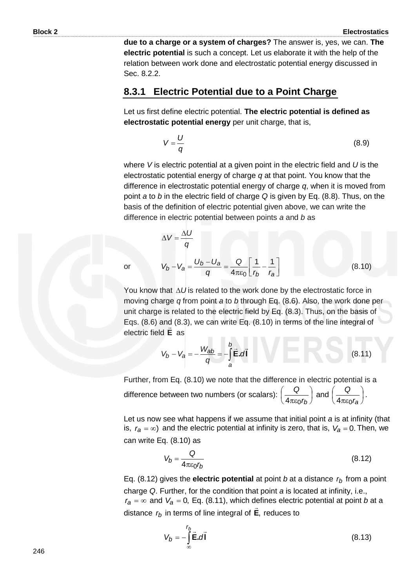**due to a charge or a system of charges?** The answer is, yes, we can. **The electric potential** is such a concept. Let us elaborate it with the help of the relation between work done and electrostatic potential energy discussed in Sec. 8.2.2.

#### **8.3.1 Electric Potential due to a Point Charge**

Let us first define electric potential. **The electric potential is defined as electrostatic potential energy** per unit charge, that is,

$$
V = \frac{U}{q}
$$
 (8.9)

where *V* is electric potential at a given point in the electric field and *U* is the electrostatic potential energy of charge *q* at that point. You know that the difference in electrostatic potential energy of charge *q*, when it is moved from point *a* to *b* in the electric field of charge *Q* is given by Eq. (8.8). Thus, on the basis of the definition of electric potential given above, we can write the difference in electric potential between points *a* and *b* as

$$
\Delta V = \frac{\Delta U}{q}
$$
  

$$
V_b - V_a = \frac{U_b - U_a}{q} = \frac{Q}{4\pi\epsilon_0} \left[ \frac{1}{r_b} - \frac{1}{r_a} \right]
$$
(8.10)

or

You know that  $\Delta U$  is related to the work done by the electrostatic force in moving charge *q* from point *a* to *b* through Eq. (8.6). Also, the work done per unit charge is related to the electric field by Eq. (8.3). Thus, on the basis of Eqs. (8.6) and (8.3), we can write Eq. (8.10) in terms of the line integral of electric field **E** as

$$
V_b - V_a = -\frac{W_{ab}}{q} = -\int_a^b \vec{E} \cdot d\vec{l}
$$
 (8.11)

Further, from Eq. (8.10) we note that the difference in electric potential is a difference between two numbers (or scalars):  $\frac{Q}{\sqrt{2\pi}}$  $\bigg)$  $\left(\frac{Q}{1-q}\right)$  $\overline{\mathcal{L}}$ ſ *rb Q*  $4\pi \varepsilon_0$ and  $\frac{a}{1}$  $\bigg)$  $\left(\frac{Q}{1-q}\right)$  $\setminus$ ſ *ra Q*  $4\pi \varepsilon_0$ .

Let us now see what happens if we assume that initial point *a* is at infinity (that is,  $r_a = \infty$ ) and the electric potential at infinity is zero, that is,  $V_a = 0$ . Then, we can write Eq. (8.10) as

$$
V_b = \frac{Q}{4\pi\varepsilon_0 r_b} \tag{8.12}
$$

Eq. (8.12) gives the **electric potential** at point *b* at a distance *rb* from a point charge *Q*. Further, for the condition that point *a* is located at infinity, i.e.,  $r_a = \infty$  and  $V_a = 0$ , Eq. (8.11), which defines electric potential at point *b* at a distance *rb* in terms of line integral of **E**, reduces to

$$
V_b = -\int_{\infty}^{r_b} \vec{E} \cdot d\vec{l}
$$
 (8.13)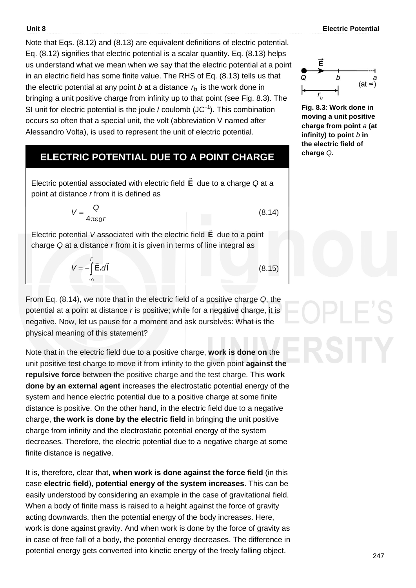Note that Eqs. (8.12) and (8.13) are equivalent definitions of electric potential. Eq. (8.12) signifies that electric potential is a scalar quantity. Eq. (8.13) helps us understand what we mean when we say that the electric potential at a point in an electric field has some finite value. The RHS of Eq. (8.13) tells us that the electric potential at any point *b* at a distance *rb* is the work done in bringing a unit positive charge from infinity up to that point (see Fig. 8.3). The SI unit for electric potential is the joule / coulomb  $(JC^{-1})$ . This combination occurs so often that a special unit, the volt (abbreviation V named after Alessandro Volta), is used to represent the unit of electric potential.

# **ELECTRIC POTENTIAL DUE TO A POINT CHARGE**

Electric potential associated with electric field **E**  $\rightarrow$ due to a charge *Q* at a point at distance *r* from it is defined as

$$
V = \frac{Q}{4\pi\varepsilon_0 r} \tag{8.14}
$$

Electric potential *V* associated with the electric field **E**  $\overline{\phantom{a}}$ due to a point charge *Q* at a distance *r* from it is given in terms of line integral as

$$
V = -\int_{-\infty}^{\prime} \vec{E} \cdot d\vec{l}
$$
 (8.

From Eq. (8.14), we note that in the electric field of a positive charge *Q*, the potential at a point at distance *r* is positive; while for a negative charge, it is negative. Now, let us pause for a moment and ask ourselves: What is the physical meaning of this statement?

Note that in the electric field due to a positive charge, **work is done on** the unit positive test charge to move it from infinity to the given point **against the repulsive force** between the positive charge and the test charge. This **work done by an external agent** increases the electrostatic potential energy of the system and hence electric potential due to a positive charge at some finite distance is positive. On the other hand, in the electric field due to a negative charge, **the work is done by the electric field** in bringing the unit positive charge from infinity and the electrostatic potential energy of the system decreases. Therefore, the electric potential due to a negative charge at some finite distance is negative.

It is, therefore, clear that, **when work is done against the force field** (in this case **electric field**), **potential energy of the system increases**. This can be easily understood by considering an example in the case of gravitational field. When a body of finite mass is raised to a height against the force of gravity acting downwards, then the potential energy of the body increases. Here, work is done against gravity. And when work is done by the force of gravity as in case of free fall of a body, the potential energy decreases. The difference in potential energy gets converted into kinetic energy of the freely falling object.



**Fig. 8.3**: **Work done in moving a unit positive charge from point** *a* **(at infinity) to point** *b* **in the electric field of charge** *Q***.**



(8.15)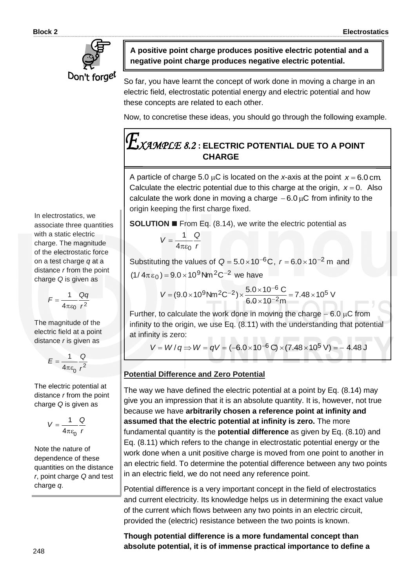

**A positive point charge produces positive electric potential and a negative point charge produces negative electric potential.**

So far, you have learnt the concept of work done in moving a charge in an electric field, electrostatic potential energy and electric potential and how these concepts are related to each other.

Now, to concretise these ideas, you should go through the following example.

# *XAMPLE 8.2* **: ELECTRIC POTENTIAL DUE TO A POINT CHARGE**

A particle of charge 5.0  $\mu$ C is located on the *x*-axis at the point  $x = 6.0$  cm. Calculate the electric potential due to this charge at the origin,  $x = 0$ . Also calculate the work done in moving a charge  $-6.0 \mu C$  from infinity to the origin keeping the first charge fixed.

**SOLUTION ■** From Eq. (8.14), we write the electric potential as

$$
V=\frac{1}{4\pi\epsilon_0}\frac{Q}{r}
$$

Substituting the values of  $Q = 5.0 \times 10^{-6}$ C,  $r = 6.0 \times 10^{-2}$  m and  $(1/4\pi\epsilon_0) = 9.0 \times 10^9$  Nm <sup>2</sup>C<sup>-2</sup> we have

$$
V = (9.0 \times 10^9 \,\text{N} \,\text{m}^2 \text{C}^{-2}) \times \frac{5.0 \times 10^{-6} \,\text{C}}{6.0 \times 10^{-2} \,\text{m}} = 7.48 \times 10^5 \,\text{V}
$$

Further, to calculate the work done in moving the charge  $-6.0 \mu C$  from infinity to the origin, we use Eq. (8.11) with the understanding that potential at infinity is zero:

 $V = W/q \Rightarrow W = qV = (-6.0 \times 10^{-6} \text{ C}) \times (7.48 \times 10^{5} \text{ V}) = -4.48 \text{ J}$ 

#### **Potential Difference and Zero Potential**

The way we have defined the electric potential at a point by Eq. (8.14) may give you an impression that it is an absolute quantity. It is, however, not true because we have **arbitrarily chosen a reference point at infinity and assumed that the electric potential at infinity is zero.** The more fundamental quantity is the **potential difference** as given by Eq. (8.10) and Eq. (8.11) which refers to the change in electrostatic potential energy or the work done when a unit positive charge is moved from one point to another in an electric field. To determine the potential difference between any two points in an electric field, we do not need any reference point.

Potential difference is a very important concept in the field of electrostatics and current electricity. Its knowledge helps us in determining the exact value of the current which flows between any two points in an electric circuit, provided the (electric) resistance between the two points is known.

**Though potential difference is a more fundamental concept than absolute potential, it is of immense practical importance to define a** 

In electrostatics, we associate three quantities with a static electric charge. The magnitude of the electrostatic force on a test charge *q* at a distance *r* from the point charge *Q* is given as

$$
F=\frac{1}{4\pi\epsilon_0}\frac{Qq}{r^2}
$$

The magnitude of the electric field at a point distance *r* is given as

$$
E = \frac{1}{4\pi\varepsilon_0} \frac{Q}{r^2}
$$

The electric potential at distance *r* from the point charge *Q* is given as

$$
V=\frac{1}{4\pi\varepsilon_0}\frac{Q}{r}
$$

Note the nature of dependence of these quantities on the distance *r*, point charge *Q* and test charge *q*.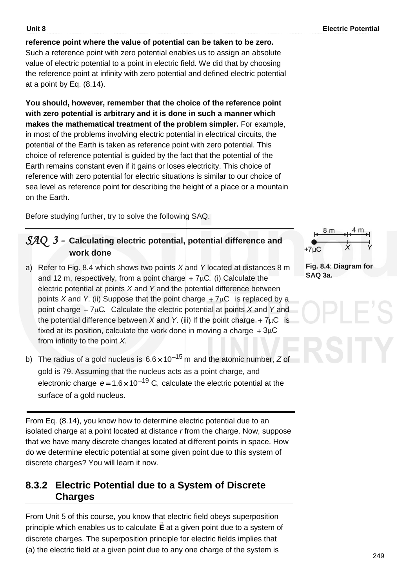#### **reference point where the value of potential can be taken to be zero.**

Such a reference point with zero potential enables us to assign an absolute value of electric potential to a point in electric field. We did that by choosing the reference point at infinity with zero potential and defined electric potential at a point by Eq. (8.14).

**You should, however, remember that the choice of the reference point with zero potential is arbitrary and it is done in such a manner which makes the mathematical treatment of the problem simpler.** For example, in most of the problems involving electric potential in electrical circuits, the potential of the Earth is taken as reference point with zero potential. This choice of reference potential is guided by the fact that the potential of the Earth remains constant even if it gains or loses electricity. This choice of reference with zero potential for electric situations is similar to our choice of sea level as reference point for describing the height of a place or a mountain on the Earth.

Before studying further, try to solve the following SAQ.

#### *SAQ 3 -* **Calculating electric potential, potential difference and work done**

- a) Refer to Fig. 8.4 which shows two points *X* and *Y* located at distances 8 m and 12 m, respectively, from a point charge  $+7\mu$ C. (i) Calculate the electric potential at points *X* and *Y* and the potential difference between points X and Y. (ii) Suppose that the point charge  $+7\mu$ C is replaced by a point charge  $-7\mu$ C. Calculate the electric potential at points *X* and *Y* and the potential difference between  $X$  and  $Y$ . (iii) If the point charge  $+7\mu C$  is fixed at its position, calculate the work done in moving a charge  $+3\mu C$ from infinity to the point *X*.
- b) The radius of a gold nucleus is  $6.6 \times 10^{-15}$  m and the atomic number, Z of gold is 79. Assuming that the nucleus acts as a point charge, and electronic charge  $e = 1.6 \times 10^{-19}$  C, calculate the electric potential at the surface of a gold nucleus.

From Eq. (8.14), you know how to determine electric potential due to an isolated charge at a point located at distance *r* from the charge. Now, suppose that we have many discrete changes located at different points in space. How do we determine electric potential at some given point due to this system of discrete charges? You will learn it now.

#### **8.3.2 Electric Potential due to a System of Discrete Charges**

From Unit 5 of this course, you know that electric field obeys superposition principle which enables us to calculate **E** at a given point due to a system of discrete charges. The superposition principle for electric fields implies that (a) the electric field at a given point due to any one charge of the system is



**Fig. 8.4**: **Diagram for SAQ 3a.**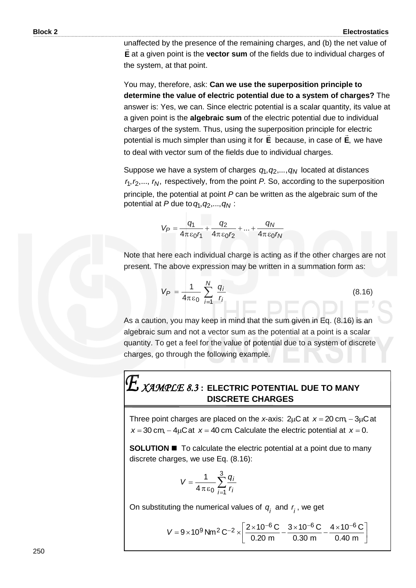unaffected by the presence of the remaining charges, and (b) the net value of **E** at a given point is the **vector sum** of the fields due to individual charges of the system, at that point.

You may, therefore, ask: **Can we use the superposition principle to determine the value of electric potential due to a system of charges?** The answer is: Yes, we can. Since electric potential is a scalar quantity, its value at a given point is the **algebraic sum** of the electric potential due to individual charges of the system. Thus, using the superposition principle for electric potential is much simpler than using it for **E** because, in case of **E**, we have to deal with vector sum of the fields due to individual charges.

Suppose we have a system of charges  $q_1, q_2,..., q_N$  located at distances  $r_1, r_2, \ldots, r_N$ , respectively, from the point  $P$ . So, according to the superposition principle, the potential at point *P* can be written as the algebraic sum of the potential at *P* due to  $q_1, q_2, ..., q_N$  :

$$
V_P = \frac{q_1}{4\pi\epsilon_0 r_1} + \frac{q_2}{4\pi\epsilon_0 r_2} + \dots + \frac{q_N}{4\pi\epsilon_0 r_N}
$$

Note that here each individual charge is acting as if the other charges are not present. The above expression may be written in a summation form as:

$$
V_P = \frac{1}{4\pi\epsilon_0} \sum_{i=1}^{N} \frac{q_i}{r_i}
$$
 (8.16)

As a caution, you may keep in mind that the sum given in Eq. (8.16) is an algebraic sum and not a vector sum as the potential at a point is a scalar quantity. To get a feel for the value of potential due to a system of discrete charges, go through the following example.

# $\boldsymbol{L}$   $\chi$ *AMPLE 8.3*  $:$  ELECTRIC POTENTIAL DUE TO MANY **DISCRETE CHARGES**

Three point charges are placed on the x-axis:  $2\mu$ C at  $x = 20$  cm,  $-3\mu$ C at  $x = 30$  cm,  $-4\mu$ C at  $x = 40$  cm. Calculate the electric potential at  $x = 0$ .

**SOLUTION <b>I** To calculate the electric potential at a point due to many discrete charges, we use Eq. (8.16):

$$
V=\frac{1}{4\,\pi\,\varepsilon_0}\sum_{i=1}^3\frac{q_i}{r_i}
$$

On substituting the numerical values of  $q^{}_{i}$  and  $r^{}_{i}$ , we get

$$
V = 9 \times 10^9 \text{ Nm}^2 \text{ C}^{-2} \times \left[ \frac{2 \times 10^{-6} \text{ C}}{0.20 \text{ m}} - \frac{3 \times 10^{-6} \text{ C}}{0.30 \text{ m}} - \frac{4 \times 10^{-6} \text{ C}}{0.40 \text{ m}} \right]
$$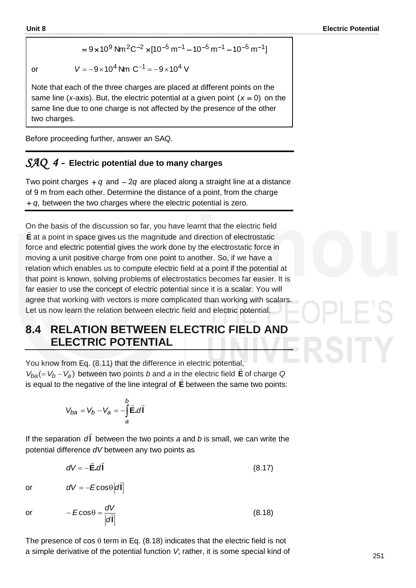$$
= 9 \times 10^{9} \text{ Nm}^{2} \text{C}^{-2} \times [10^{-5} \text{ m}^{-1} - 10^{-5} \text{ m}^{-1} - 10^{-5} \text{ m}^{-1}]
$$

or 
$$
V = -9 \times 10^4
$$
 Nm  $C^{-1} = -9 \times 10^4$  V

Note that each of the three charges are placed at different points on the same line (x-axis). But, the electric potential at a given point  $(x = 0)$  on the same line due to one charge is not affected by the presence of the other two charges.

Before proceeding further, answer an SAQ.

#### *SAQ 4 -* **Electric potential due to many charges**

Two point charges  $+q$  and  $-2q$  are placed along a straight line at a distance of 9 m from each other. Determine the distance of a point, from the charge *q*, between the two charges where the electric potential is zero.

On the basis of the discussion so far, you have learnt that the electric field **E** at a point in space gives us the magnitude and direction of electrostatic force and electric potential gives the work done by the electrostatic force in moving a unit positive charge from one point to another. So, if we have a relation which enables us to compute electric field at a point if the potential at that point is known, solving problems of electrostatics becomes far easier. It is far easier to use the concept of electric potential since it is a scalar. You will agree that working with vectors is more complicated than working with scalars. Let us now learn the relation between electric field and electric potential.

# **8.4 RELATION BETWEEN ELECTRIC FIELD AND ELECTRIC POTENTIAL**

You know from Eq. (8.11) that the difference in electric potential,  $V_{ba} (= V_b - V_a)$  between two points *b* and *a* in the electric field **E** of charge *Q* is equal to the negative of the line integral of **E** between the same two points:

$$
V_{ba} = V_b - V_a = -\int_a^b \vec{\mathbf{E}} \cdot d\vec{\mathbf{l}}
$$

 $dV = -E\cos\theta|d$ 

If the separation **l**  $\overline{a}$ *d* between the two points *a* and *b* is small, we can write the potential difference *dV* between any two points as

$$
dV = -\vec{E} \cdot d\vec{l} \tag{8.17}
$$

or

or 
$$
-E\cos\theta = \frac{dV}{|d\vec{l}|}
$$
 (8.18)

**l**  $\overline{a}$ 

The presence of  $\cos \theta$  term in Eq. (8.18) indicates that the electric field is not a simple derivative of the potential function *V*; rather, it is some special kind of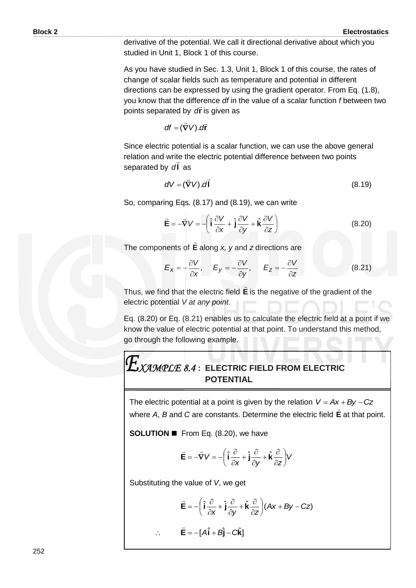derivative of the potential. We call it directional derivative about which you studied in Unit 1, Block 1 of this course.

As you have studied in Sec. 1.3, Unit 1, Block 1 of this course, the rates of change of scalar fields such as temperature and potential in different directions can be expressed by using the gradient operator. From Eq. (1.8), you know that the difference *df* in the value of a scalar function *f* between two points separated by **r** *d* is given as

$$
df = (\vec{\nabla}V).d\vec{r}
$$

Since electric potential is a scalar function, we can use the above general relation and write the electric potential difference between two points separated by **l** *d* as

$$
dV = (\vec{\nabla}V) \cdot d\vec{l} \tag{8.19}
$$

So, comparing Eqs. (8.17) and (8.19), we can write

$$
\vec{\mathbf{E}} = -\vec{\nabla} V = -\left(\hat{\mathbf{i}}\frac{\partial V}{\partial x} + \hat{\mathbf{j}}\frac{\partial V}{\partial y} + \hat{\mathbf{k}}\frac{\partial V}{\partial z}\right)
$$
(8.20)

The components of **E**  $\rightarrow$ along *x, y* and *z* directions are

$$
E_x = -\frac{\partial V}{\partial x}, \qquad E_y = -\frac{\partial V}{\partial y}, \qquad E_z = -\frac{\partial V}{\partial z}
$$
 (8.21)

Thus, we find that the electric field **E**  $\rightarrow$ is the negative of the gradient of the electric potential *V at any point*.

Eq. (8.20) or Eq. (8.21) enables us to calculate the electric field at a point if we know the value of electric potential at that point. To understand this method, go through the following example.

# *XAMPLE 8.4* **: ELECTRIC FIELD FROM ELECTRIC POTENTIAL**

The electric potential at a point is given by the relation  $V = Ax + By - Cz$ where *A*, *B* and *C* are constants. Determine the electric field **E**  $\frac{1}{x}$ at that point.

**SOLUTION ■** From Eq. (8.20), we have

$$
\vec{\mathbf{E}} = -\vec{\nabla}V = -\left(\hat{\mathbf{i}}\frac{\partial}{\partial x} + \hat{\mathbf{j}}\frac{\partial}{\partial y} + \hat{\mathbf{k}}\frac{\partial}{\partial z}\right)V
$$

Substituting the value of *V*, we get

$$
\vec{\mathbf{E}} = -\left(\hat{\mathbf{i}}\frac{\partial}{\partial x} + \hat{\mathbf{j}}\frac{\partial}{\partial y} + \hat{\mathbf{k}}\frac{\partial}{\partial z}\right)(Ax + By - Cz)
$$

 $\therefore$  **E** =  $-[A\hat{i} + B\hat{j} - C\hat{k}]$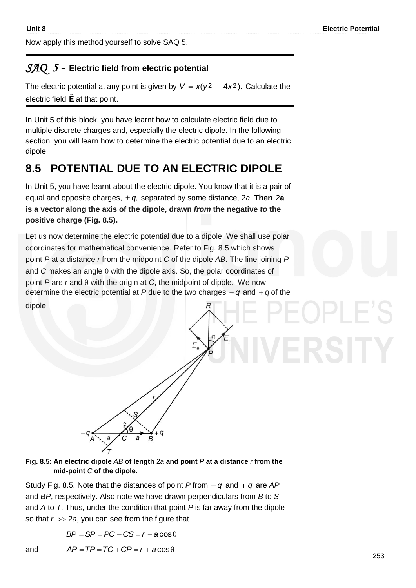Now apply this method yourself to solve SAQ 5.

### *SAQ 5 -* **Electric field from electric potential**

The electric potential at any point is given by  $V = x(y^2 - 4x^2)$ . Calculate the electric field **E**  $\rightarrow$ at that point.

In Unit 5 of this block, you have learnt how to calculate electric field due to multiple discrete charges and, especially the electric dipole. In the following section, you will learn how to determine the electric potential due to an electric dipole.

# **8.5 POTENTIAL DUE TO AN ELECTRIC DIPOLE**

In Unit 5, you have learnt about the electric dipole. You know that it is a pair of equal and opposite charges,  $\pm$  q, separated by some distance, 2*a*. Then 2a **is a vector along the axis of the dipole, drawn** *from* **the negative** *to* **the positive charge (Fig. 8.5).**

Let us now determine the electric potential due to a dipole. We shall use polar coordinates for mathematical convenience. Refer to Fig. 8.5 which shows point *P* at a distance *r* from the midpoint *C* of the dipole *AB*. The line joining *P* and  $C$  makes an angle  $\theta$  with the dipole axis. So, the polar coordinates of point  $P$  are  $r$  and  $\theta$  with the origin at  $C$ , the midpoint of dipole. We now determine the electric potential at  $P$  due to the two charges  $-q$  and  $+q$  of the dipole.



#### **Fig. 8.5**: **An electric dipole** *AB* **of length** 2*a* **and point** *P* **at a distance** *r* **from the mid-point** *C* **of the dipole.**

Study Fig. 8.5. Note that the distances of point  $P$  from  $-q$  and  $+q$  are  $AP$ and *BP*, respectively. Also note we have drawn perpendiculars from *B* to *S*  and *A* to *T*. Thus, under the condition that point *P* is far away from the dipole so that  $r \gg 2a$ , you can see from the figure that

$$
BP = SP = PC - CS = r - a\cos\theta
$$

and  $AP = TP = TC + CP = r + a\cos\theta$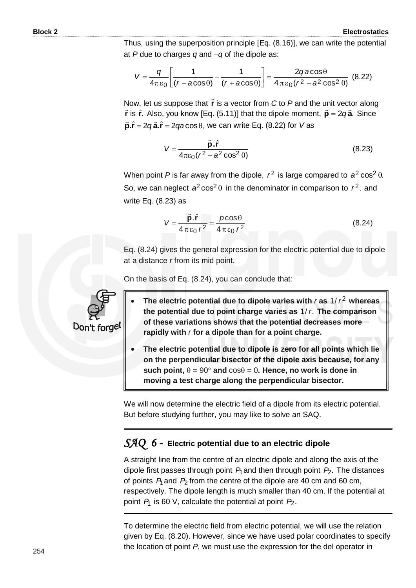Thus, using the superposition principle [Eq. (8.16)], we can write the potential at  $P$  due to charges  $q$  and  $-q$  of the dipole as:

$$
V = \frac{q}{4\pi\epsilon_0} \left[ \frac{1}{(r - a\cos\theta)} - \frac{1}{(r + a\cos\theta)} \right] = \frac{2qa\cos\theta}{4\pi\epsilon_0(r^2 - a^2\cos^2\theta)} \tag{8.22}
$$

Now, let us suppose that **r**  $\rightarrow$ is a vector from *C* to *P* and the unit vector along **r** is  $\hat{\bf{r}}$ . Also, you know [Eq. (5.11)] that the dipole moment,  $\vec{\bf{p}} = 2q\vec{\bf{a}}$ . Since  $\vec{p}.\hat{r} = 2q\vec{a}.\hat{r} = 2qa\cos\theta$ , we can write Eq. (8.22) for *V* as

$$
V = \frac{\vec{p} \cdot \hat{r}}{4\pi\epsilon_0 (r^2 - a^2 \cos^2\theta)}
$$
(8.23)

When point P is far away from the dipole,  $r^2$  is large compared to  $a^2 \cos^2 \theta$ . So, we can neglect  $a^2 \cos^2 \theta$  in the denominator in comparison to  $r^2$ , and write Eq. (8.23) as

$$
V = \frac{\vec{p}.\hat{r}}{4\pi\epsilon_0 r^2} = \frac{\rho\cos\theta}{4\pi\epsilon_0 r^2}
$$
 (8.24)

Eq. (8.24) gives the general expression for the electric potential due to dipole at a distance *r* from its mid point.

On the basis of Eq. (8.24), you can conclude that:

- The electric potential due to dipole varies with  $r$  as  $1/r^2$  whereas the potential due to point charge varies as 1/r. The comparison **of these variations shows that the potential decreases more rapidly with** *r* **for a dipole than for a point charge.**
- **The electric potential due to dipole is zero for all points which lie on the perpendicular bisector of the dipole axis because, for any**   $\textbf{such point}, \theta = 90^\circ$  and  $\cos \theta = 0$ . Hence, no work is done in **moving a test charge along the perpendicular bisector.**

We will now determine the electric field of a dipole from its electric potential. But before studying further, you may like to solve an SAQ.

# *SAQ 6 -* **Electric potential due to an electric dipole**

A straight line from the centre of an electric dipole and along the axis of the dipole first passes through point  $P_1$  and then through point  $P_2$ . The distances of points  $P_1$  and  $P_2$  from the centre of the dipole are 40 cm and 60 cm, respectively. The dipole length is much smaller than 40 cm. If the potential at point *P*1 is 60 V, calculate the potential at point *P*2.

To determine the electric field from electric potential, we will use the relation given by Eq. (8.20). However, since we have used polar coordinates to specify the location of point *P*, we must use the expression for the del operator in

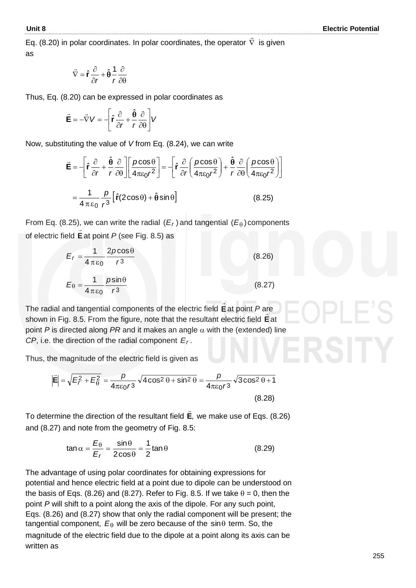Eq. (8.20) in polar coordinates. In polar coordinates, the operator  $\, \nabla$ ...<br>= is given as

$$
\vec{\nabla} = \hat{\mathbf{r}} \frac{\partial}{\partial r} + \hat{\mathbf{\theta}} \frac{1}{r} \frac{\partial}{\partial \mathbf{\theta}}
$$

Thus, Eq. (8.20) can be expressed in polar coordinates as

$$
\vec{\mathbf{E}} = -\vec{\nabla}V = -\left[\hat{\mathbf{r}}\frac{\partial}{\partial r} + \frac{\hat{\mathbf{\theta}}}{r}\frac{\partial}{\partial \theta}\right]V
$$

Now, substituting the value of *V* from Eq. (8.24), we can write

$$
\vec{\mathbf{E}} = -\left[\hat{\mathbf{r}}\frac{\partial}{\partial r} + \frac{\hat{\mathbf{\theta}}}{r}\frac{\partial}{\partial \theta}\right] \left[\frac{p\cos\theta}{4\pi\varepsilon_0 r^2}\right] = -\left[\hat{\mathbf{r}}\frac{\partial}{\partial r}\left(\frac{p\cos\theta}{4\pi\varepsilon_0 r^2}\right) + \frac{\hat{\mathbf{\theta}}}{r}\frac{\partial}{\partial \theta}\left(\frac{p\cos\theta}{4\pi\varepsilon_0 r^2}\right)\right]
$$

$$
= \frac{1}{4\pi\varepsilon_0} \frac{p}{r^3} \left[\hat{\mathbf{r}}(2\cos\theta) + \hat{\mathbf{\theta}}\sin\theta\right]
$$
(8.25)

From Eq. (8.25), we can write the radial  $(E_r)$  and tangential  $(E_\theta)$  components of electric field **E**  $\stackrel{'}{\rightarrow}$ at point *P* (see Fig. 8.5) as

$$
E_r = \frac{1}{4 \pi \varepsilon_0} \frac{2 \rho \cos \theta}{r^3}
$$
(8.26)  

$$
E_{\theta} = \frac{1}{4 \pi \varepsilon_0} \frac{\rho \sin \theta}{r^3}
$$
(8.27)

The radial and tangential components of the electric field **E**  $\overline{a}$ at point *P* are shown in Fig. 8.5. From the figure, note that the resultant electric field **E** at point  $P$  is directed along  $PR$  and it makes an angle  $\alpha$  with the (extended) line *CP*, i.e. the direction of the radial component  $E_r$ .

Thus, the magnitude of the electric field is given as

$$
\left|\vec{E}\right| = \sqrt{E_f^2 + E_\theta^2} = \frac{p}{4\pi\varepsilon_0 r^3} \sqrt{4\cos^2\theta + \sin^2\theta} = \frac{p}{4\pi\varepsilon_0 r^3} \sqrt{3\cos^2\theta + 1}
$$
\n(8.28)

To determine the direction of the resultant field **E**,  $\rightarrow$  we make use of Eqs. (8.26) and (8.27) and note from the geometry of Fig. 8.5:

$$
\tan \alpha = \frac{E_{\theta}}{E_r} = \frac{\sin \theta}{2\cos \theta} = \frac{1}{2}\tan \theta
$$
 (8.29)

The advantage of using polar coordinates for obtaining expressions for potential and hence electric field at a point due to dipole can be understood on the basis of Eqs. (8.26) and (8.27). Refer to Fig. 8.5. If we take  $\theta = 0$ , then the point *P* will shift to a point along the axis of the dipole. For any such point, Eqs. (8.26) and (8.27) show that only the radial component will be present; the tangential component,  $E_{\theta}$  will be zero because of the sin $\theta$  term. So, the magnitude of the electric field due to the dipole at a point along its axis can be written as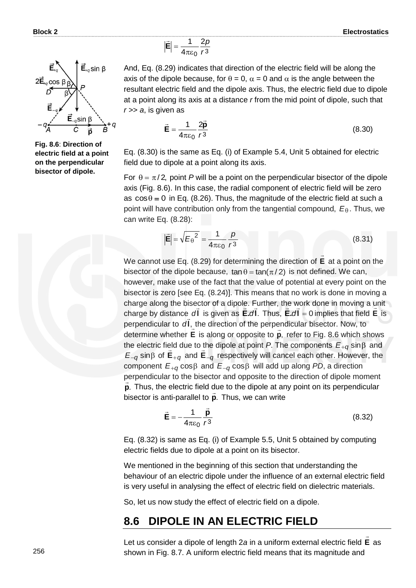

And, Eq. (8.29) indicates that direction of the electric field will be along the axis of the dipole because, for  $\theta = 0$ ,  $\alpha = 0$  and  $\alpha$  is the angle between the resultant electric field and the dipole axis. Thus, the electric field due to dipole at a point along its axis at a distance *r* from the mid point of dipole, such that *r >*> *a*, is given as

$$
\vec{\mathbf{E}} = \frac{1}{4\pi\varepsilon_0} \frac{2\vec{\mathbf{p}}}{r^3}
$$
 (8.30)

Eq. (8.30) is the same as Eq. (i) of Example 5.4, Unit 5 obtained for electric field due to dipole at a point along its axis.

For  $\theta = \pi/2$ , point P will be a point on the perpendicular bisector of the dipole axis (Fig. 8.6). In this case, the radial component of electric field will be zero as  $cos\theta = 0$  in Eq. (8.26). Thus, the magnitude of the electric field at such a point will have contribution only from the tangential compound, *E* . Thus, we can write Eq. (8.28):

$$
\left|\vec{\mathbf{E}}\right| = \sqrt{E_{\theta}^2} = \frac{1}{4\pi\varepsilon_0} \frac{p}{r^3}
$$
\n(8.31)

We cannot use Eq. (8.29) for determining the direction of **E**  $\rightarrow$  at a point on the bisector of the dipole because,  $\tan \theta = \tan(\pi/2)$  is not defined. We can, however, make use of the fact that the value of potential at every point on the bisector is zero [see Eq. (8.24)]. This means that no work is done in moving a charge along the bisector of a dipole. Further, the work done in moving a unit charge by distance  $d\mathbf{l}$  is given as **E.** $d\mathbf{l}$ . Thus, **E.** $d\mathbf{l} = 0$  implies that field **E** is perpendicular to  $dI$ , the direction of the perpendicular bisector. Now, to determine whether **E** is along or opposite to **p**,  $\tilde{=}$  refer to Fig. 8.6 which shows the electric field due to the dipole at point *P*. The components  $E_{+q}$  sin $\beta$  and  $E_{-q}$  sin $\beta$  of  $E_{+q}$  and  $E_{-q}$  respectively will cancel each other. However, the  $\epsilon$  component  $E_{+q}$  cos $\beta$  and  $E_{-q}$  cos $\beta$  will add up along *PD*, a direction perpendicular to the bisector and opposite to the direction of dipole moment **p**. Thus, the electric field due to the dipole at any point on its perpendicular bisector is anti-parallel to **p***.* Thus, we can write

$$
\vec{\mathbf{E}} = -\frac{1}{4\pi\varepsilon_0} \frac{\vec{\mathbf{p}}}{r^3}
$$
 (8.32)

Eq. (8.32) is same as Eq. (i) of Example 5.5, Unit 5 obtained by computing electric fields due to dipole at a point on its bisector.

We mentioned in the beginning of this section that understanding the behaviour of an electric dipole under the influence of an external electric field is very useful in analysing the effect of electric field on dielectric materials.

So, let us now study the effect of electric field on a dipole.

#### **8.6 DIPOLE IN AN ELECTRIC FIELD**

Let us consider a dipole of length 2*a* in a uniform external electric field **E** as  $\rightarrow$ shown in Fig. 8.7. A uniform electric field means that its magnitude and



**Fig. 8.6**: **Direction of electric field at a point on the perpendicular bisector of dipole.**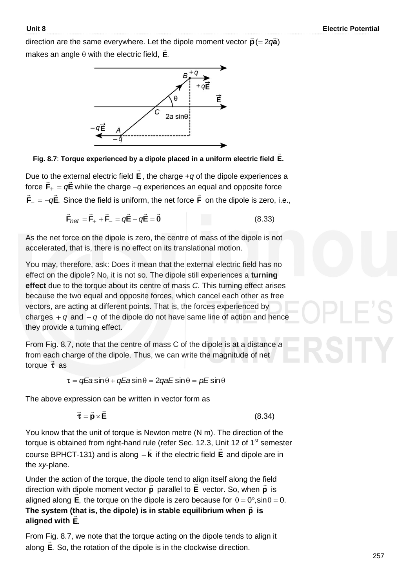direction are the same everywhere. Let the dipole moment vector  $\vec{\mathbf{p}}$  (= 2 $q\vec{\mathbf{a}}$ ) makes an angle with the electric field, **E**.  $\rightarrow$ 



**Fig. 8.7**: **Torque experienced by a dipole placed in a uniform electric field .E**  $\rightarrow$ 

Due to the external electric field **E**  $\rightarrow$ ) the external electric field **E** , the charge +*q* of the dipole experiences a<br>= force  $\textbf{F}_{+} = q \textbf{E}$  while the charge  $-q$  experiences an equal and opposite force  $F_{-} = -qE$ .  $\pm$   $\pm$  $\mathcal{L}_- = -q\mathsf{E}.$  Since the field is uniform, the net force  $\mathsf{F}$  $\rightarrow$ on the dipole is zero, i.e.,

$$
\vec{\mathbf{F}}_{net} = \vec{\mathbf{F}}_{+} + \vec{\mathbf{F}}_{-} = q\vec{\mathbf{E}} - q\vec{\mathbf{E}} = \vec{\mathbf{0}}
$$
 (8.33)

As the net force on the dipole is zero, the centre of mass of the dipole is not accelerated, that is, there is no effect on its translational motion.

You may, therefore, ask: Does it mean that the external electric field has no effect on the dipole? No, it is not so. The dipole still experiences a **turning effect** due to the torque about its centre of mass *C*. This turning effect arises because the two equal and opposite forces, which cancel each other as free vectors, are acting at different points. That is, the forces experienced by charges  $+q$  and  $-q$  of the dipole do not have same line of action and hence they provide a turning effect.

From Fig. 8.7, note that the centre of mass C of the dipole is at a distance *a* from each charge of the dipole. Thus, we can write the magnitude of net<br>factors  $\vec{r}$ torque  $\vec{\tau}$  as

 $\tau = qEa \sin \theta + qEa \sin \theta = 2qaE \sin \theta = pE \sin \theta$ 

The above expression can be written in vector form as

$$
\vec{\tau} = \vec{p} \times \vec{E}
$$

(8.34)

You know that the unit of torque is Newton metre (N m). The direction of the torque is obtained from right-hand rule (refer Sec. 12.3, Unit 12 of 1<sup>st</sup> semester course BPHCT-131) and is along **k** if the electric field **E** and dipole are in the *xy*-plane.

Under the action of the torque, the dipole tend to align itself along the field direction with dipole moment vector **p**  $\ddot{ }$  parallel to **E** vector. So, when **p**  $\ddot{\ }$ lipole moment vector  $\dot{\mathbf{p}}$  parallel to E vector. So, when  $\dot{\mathbf{p}}$  is aligned along **E**, the torque on the dipole is zero because for  $\theta = 0^\circ$ , sin $\theta = 0$ . The system (that is, the dipole) is in stable equilibrium when  $\vec{p}$  is **aligned with E**.

From Fig. 8.7, we note that the torque acting on the dipole tends to align it along **E**. So, the rotation of the dipole is in the clockwise direction.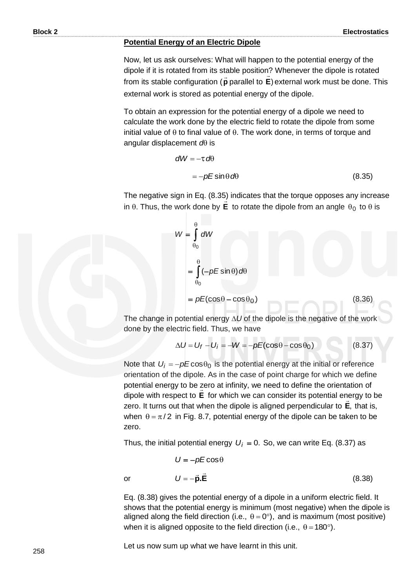#### **Potential Energy of an Electric Dipole**

Now, let us ask ourselves: What will happen to the potential energy of the dipole if it is rotated from its stable position? Whenever the dipole is rotated from its stable configuration ( **p**  $\overline{\phantom{a}}$ parallel to **E**) external work must be done. This external work is stored as potential energy of the dipole.

To obtain an expression for the potential energy of a dipole we need to calculate the work done by the electric field to rotate the dipole from some initial value of  $\theta$  to final value of  $\theta$ . The work done, in terms of torque and angular displacement  $d\theta$  is

$$
dW = -\tau d\theta
$$
  
= -pE sin  $\theta d\theta$  (8.35)

The negative sign in Eq. (8.35) indicates that the torque opposes any increase in  $\theta$ . Thus, the work done by **E** to rotate the dipole from an angle  $\theta_0$  to  $\theta$  is

$$
W = \int_{\theta_0}^{\theta} dW
$$
  
=  $\int_{\theta_0}^{\theta} (-pE\sin\theta) d\theta$   
=  $pE(\cos\theta - \cos\theta_0)$  (8.36)

The change in potential energy  $\Delta U$  of the dipole is the negative of the work done by the electric field. Thus, we have

$$
\Delta U = U_f - U_i = -W = -pE(\cos\theta - \cos\theta_0) \tag{8.37}
$$

Note that  $U_i = -pE\cos\theta_0$  is the potential energy at the initial or reference orientation of the dipole. As in the case of point charge for which we define potential energy to be zero at infinity, we need to define the orientation of dipole with respect to **E** for which we can consider its potential energy to be zero. It turns out that when the dipole is aligned perpendicular to **E**, that is, when  $\theta = \pi/2$  in Fig. 8.7, potential energy of the dipole can be taken to be zero.

Thus, the initial potential energy  $U_i = 0$ . So, we can write Eq. (8.37) as

$$
U = -pE\cos\theta
$$
  

$$
U = -\vec{p}.\vec{E}
$$
 (8.38)

Eq. (8.38) gives the potential energy of a dipole in a uniform electric field. It shows that the potential energy is minimum (most negative) when the dipole is aligned along the field direction (i.e.,  $\theta = 0^{\circ}$ ), and is maximum (most positive) when it is aligned opposite to the field direction (i.e.,  $\theta = 180^{\circ}$ ).

Let us now sum up what we have learnt in this unit.

or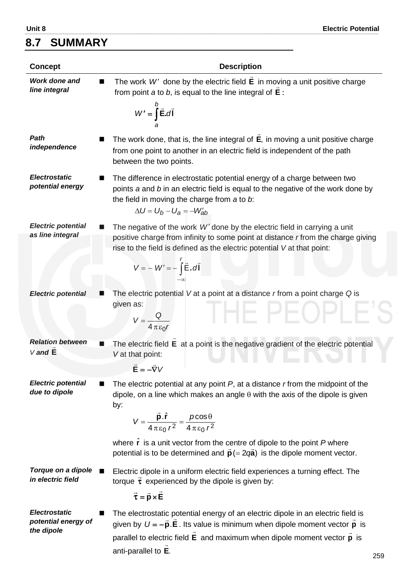# **8.7 SUMMARY**

| <b>Concept</b>                                                 | <b>Description</b>                                                                                                                                                                                                                                                                                                                                                                          |
|----------------------------------------------------------------|---------------------------------------------------------------------------------------------------------------------------------------------------------------------------------------------------------------------------------------------------------------------------------------------------------------------------------------------------------------------------------------------|
| Work done and<br>line integral                                 | The work $W'$ done by the electric field $\vec{E}$ in moving a unit positive charge<br>from point a to b, is equal to the line integral of $\vec{E}$ :                                                                                                                                                                                                                                      |
|                                                                | $W' = \int_{0}^{D} \vec{E} \cdot d\vec{l}$                                                                                                                                                                                                                                                                                                                                                  |
| Path<br>independence                                           | The work done, that is, the line integral of $\vec{E}$ , in moving a unit positive charge<br>from one point to another in an electric field is independent of the path<br>between the two points.                                                                                                                                                                                           |
| <b>Electrostatic</b><br>potential energy                       | The difference in electrostatic potential energy of a charge between two<br>points a and b in an electric field is equal to the negative of the work done by<br>the field in moving the charge from a to b:<br>$\Delta U = U_b - U_a = -W'_{ab}$                                                                                                                                            |
| <b>Electric potential</b><br>as line integral                  | The negative of the work $W'$ done by the electric field in carrying a unit<br>positive charge from infinity to some point at distance r from the charge giving<br>rise to the field is defined as the electric potential V at that point:<br>$V = -W' = -\int \vec{E} \cdot d\vec{l}$                                                                                                      |
| <b>Electric potential</b>                                      | The electric potential $V$ at a point at a distance $r$ from a point charge $Q$ is<br>given as:<br>$V = \frac{Q}{4 \pi \epsilon_0 r}$                                                                                                                                                                                                                                                       |
| <b>Relation between</b><br>■<br>$V$ and $E$                    | The electric field $E$ at a point is the negative gradient of the electric potential<br>V at that point:<br>$\vec{E} = -\vec{\nabla}V$                                                                                                                                                                                                                                                      |
| <b>Electric potential</b><br>due to dipole                     | The electric potential at any point $P$ , at a distance $r$ from the midpoint of the<br>dipole, on a line which makes an angle $\theta$ with the axis of the dipole is given<br>by:<br>$V = \frac{\vec{p} \cdot \hat{r}}{4 \pi \epsilon_0 r^2} = \frac{\rho \cos \theta}{4 \pi \epsilon_0 r^2}$<br>where $\hat{\mathbf{r}}$ is a unit vector from the centre of dipole to the point P where |
| Torque on a dipole<br>■<br>in electric field                   | potential is to be determined and $\vec{p}$ (= 2 $q\vec{a}$ ) is the dipole moment vector.<br>Electric dipole in a uniform electric field experiences a turning effect. The<br>torque $\vec{\tau}$ experienced by the dipole is given by:<br>$\vec{\tau} = \vec{p} \times \vec{E}$                                                                                                          |
| <b>Electrostatic</b><br>■<br>potential energy of<br>the dipole | The electrostatic potential energy of an electric dipole in an electric field is<br>given by $U = -\vec{p} \cdot \vec{E}$ . Its value is minimum when dipole moment vector $\vec{p}$ is<br>parallel to electric field $\vec{E}$ and maximum when dipole moment vector $\vec{p}$ is<br>anti-parallel to E.<br>oro                                                                            |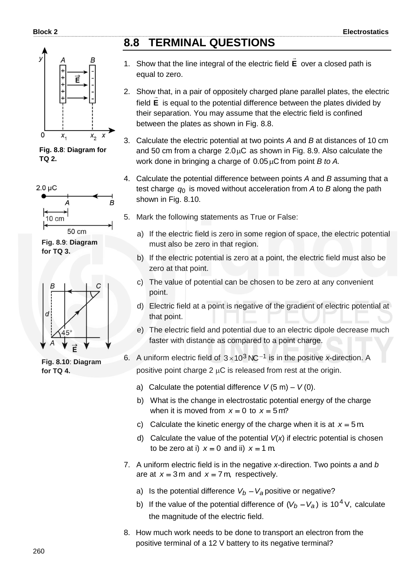

**Fig. 8.8**: **Diagram for TQ 2.**



**Fig. 8.9**: **Diagram for TQ 3.**



**Fig. 8.10**: **Diagram for TQ 4.**

# **8.8 TERMINAL QUESTIONS**

- 1. Show that the line integral of the electric field **E**  $\rightarrow$  over a closed path is equal to zero.
- 2. Show that, in a pair of oppositely charged plane parallel plates, the electric field **E** is equal to the potential difference between the plates divided by their separation. You may assume that the electric field is confined between the plates as shown in Fig. 8.8.
- 3. Calculate the electric potential at two points *A* and *B* at distances of 10 cm and 50 cm from a charge  $2.0\mu$ C as shown in Fig. 8.9. Also calculate the work done in bringing a charge of 0.05 µC from point *B to A.*
- 4. Calculate the potential difference between points *A* and *B* assuming that a test charge *q*0 is moved without acceleration from *A* to *B* along the path shown in Fig. 8.10.
- 5. Mark the following statements as True or False:
	- a) If the electric field is zero in some region of space, the electric potential must also be zero in that region.
	- b) If the electric potential is zero at a point, the electric field must also be zero at that point.
	- c) The value of potential can be chosen to be zero at any convenient point.
	- d) Electric field at a point is negative of the gradient of electric potential at that point.
	- e) The electric field and potential due to an electric dipole decrease much faster with distance as compared to a point charge.

6. A uniform electric field of  $3 \times 10^3$  NC<sup>-1</sup> is in the positive *x*-direction. A positive point charge 2  $\mu$ C is released from rest at the origin.

- a) Calculate the potential difference  $V(5 \text{ m}) V(0)$ .
- b) What is the change in electrostatic potential energy of the charge when it is moved from  $x = 0$  to  $x = 5$  m?
- c) Calculate the kinetic energy of the charge when it is at  $x = 5$  m.
- d) Calculate the value of the potential *V*(*x*) if electric potential is chosen to be zero at i)  $x = 0$  and ii)  $x = 1$  m.
- 7. A uniform electric field is in the negative *x*-direction. Two points *a* and *b* are at  $x = 3$  m and  $x = 7$  m, respectively.
	- a) Is the potential difference  $V_b V_a$  positive or negative?
	- b) If the value of the potential difference of  $(V_b V_a)$  is 10<sup>4</sup> V, calculate the magnitude of the electric field.
- 8. How much work needs to be done to transport an electron from the positive terminal of a 12 V battery to its negative terminal?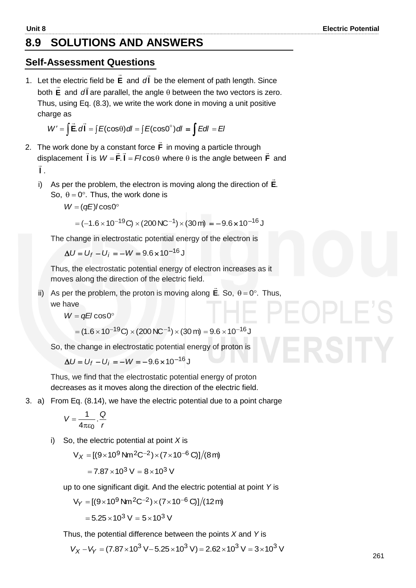## **8.9 SOLUTIONS AND ANSWERS**

#### **Self-Assessment Questions**

1. Let the electric field be **E**  $\rightarrow$ and *d*  $\overline{a}$ *d* be the element of path length. Since both **E**  $\ddot{ }$ and **l**  $\frac{1}{2}$  $dI$  are parallel, the angle  $\theta$  between the two vectors is zero. Thus, using Eq. (8.3), we write the work done in moving a unit positive charge as

$$
W' = \int \vec{E} \cdot d\vec{l} = \int E(\cos\theta) \, dl = \int E(\cos\theta^\circ) \, dl = \int E dl = EI
$$

- 2. The work done by a constant force **F**  $\rightarrow$  in moving a particle through displacement **l**  $\frac{1}{2}$ is  $W = F$ . **l** =  $F$ *l* cos $\theta$ יוסו<br>≃ ≃ where  $\theta$  is the angle between **F**  $\overline{a}$  and **l** l<br>T .
	- i) As per the problem, the electron is moving along the direction of **E**.  $\rightarrow$ So,  $\theta = 0^\circ$ . Thus, the work done is

 $W = (qE)$ *l* cos $0^{\circ}$ 

$$
= (-1.6 \times 10^{-19} \text{C}) \times (200 \text{NC}^{-1}) \times (30 \text{m}) = -9.6 \times 10^{-16} \text{J}
$$

The change in electrostatic potential energy of the electron is

 $\Delta U = U_f - U_i = -W = 9.6 \times 10^{-16}$  J

 Thus, the electrostatic potential energy of electron increases as it moves along the direction of the electric field.

ii) As per the problem, the proton is moving along **E**.  $\rightarrow$ So,  $\theta = 0^\circ$ . Thus, we have

 $W = qE/\cos 0^\circ$ 

$$
= (1.6 \times 10^{-19} \text{C}) \times (200 \text{NC}^{-1}) \times (30 \text{ m}) = 9.6 \times 10^{-16} \text{J}
$$

So, the change in electrostatic potential energy of proton is

 $\Delta U = U_f - U_i = -W = -9.6 \times 10^{-16}$  J

 Thus, we find that the electrostatic potential energy of proton decreases as it moves along the direction of the electric field.

3. a) From Eq. (8.14), we have the electric potential due to a point charge

$$
V=\frac{1}{4\pi\epsilon_0}\cdot\frac{Q}{r}
$$

i) So, the electric potential at point *X* is

$$
V_X = [(9 \times 10^9 \,\text{N} \text{m}^2 \text{C}^{-2}) \times (7 \times 10^{-6} \,\text{C})]/(8 \,\text{m})
$$

$$
= 7.87 \times 10^3 \text{ V} = 8 \times 10^3 \text{ V}
$$

up to one significant digit. And the electric potential at point *Y* is

$$
V_Y = [(9 \times 10^9 \text{ Nm}^2\text{C}^{-2}) \times (7 \times 10^{-6} \text{ C})]/(12 \text{ m})
$$

$$
= 5.25 \times 10^3 \text{ V} = 5 \times 10^3 \text{ V}
$$

Thus, the potential difference between the points *X* and *Y* is

$$
V_X - V_Y = (7.87 \times 10^3 \text{ V} - 5.25 \times 10^3 \text{ V}) = 2.62 \times 10^3 \text{ V} = 3 \times 10^3 \text{ V}
$$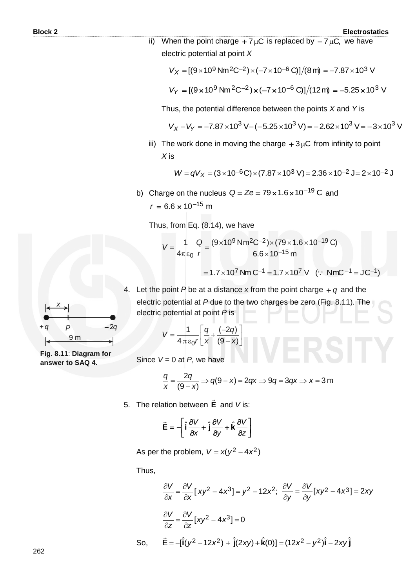ii) When the point charge  $+7 \mu C$  is replaced by  $-7 \mu C$ , we have electric potential at point *X* 

$$
V_X = [(9 \times 10^9 \text{ Nm}^2\text{C}^{-2}) \times (-7 \times 10^{-6} \text{ C})]/(8 \text{ m}) = -7.87 \times 10^3 \text{ V}
$$

$$
V_Y = [(9 \times 10^9 \text{ Nm}^2 \text{C}^{-2}) \times (-7 \times 10^{-6} \text{ C})]/(12 \text{ m}) = -5.25 \times 10^3 \text{ V}
$$

Thus, the potential difference between the points *X* and *Y* is

$$
V_X - V_Y = -7.87 \times 10^3 \text{ V} - (-5.25 \times 10^3 \text{ V}) = -2.62 \times 10^3 \text{ V} = -3 \times 10^3 \text{ V}
$$

iii) The work done in moving the charge  $+3\mu C$  from infinity to point *X* is

$$
W = qV_X = (3 \times 10^{-6} \text{C}) \times (7.87 \times 10^3 \text{ V}) = 2.36 \times 10^{-2} \text{ J} = 2 \times 10^{-2} \text{ J}
$$

b) Charge on the nucleus  $Q = Ze = 79 \times 1.6 \times 10^{-19}$  C and  $r = 6.6 \times 10^{-15}$  m

Thus, from Eq. (8.14), we have

$$
V = \frac{1}{4\pi\epsilon_0} \frac{Q}{r} = \frac{(9 \times 10^9 \text{ N} \text{m}^2 \text{C}^{-2}) \times (79 \times 1.6 \times 10^{-19} \text{ C})}{6.6 \times 10^{-15} \text{ m}}
$$
  
= 1.7 × 10<sup>7</sup> Nm C<sup>-1</sup> = 1.7 × 10<sup>7</sup> V (:: NmC<sup>-1</sup> = JC<sup>-1</sup>)

4. Let the point  $P$  be at a distance  $x$  from the point charge  $+ q$  and the electric potential at *P* due to the two charges be zero (Fig. 8.11). The electric potential at point *P* is

$$
V = \frac{1}{4 \pi \varepsilon_0 r} \left[ \frac{q}{x} + \frac{(-2q)}{(9-x)} \right]
$$

Since  $V = 0$  at  $P$ , we have

$$
\frac{q}{x} = \frac{2q}{(9-x)} \Rightarrow q(9-x) = 2qx \Rightarrow 9q = 3qx \Rightarrow x = 3 \text{ m}
$$

5. The relation between **E**  $\rightarrow$ and *V* is:

$$
\vec{\mathbf{E}} = -\left[\hat{\mathbf{i}}\frac{\partial V}{\partial x} + \hat{\mathbf{j}}\frac{\partial V}{\partial y} + \hat{\mathbf{k}}\frac{\partial V}{\partial z}\right]
$$

As per the problem,  $V = x(y^2 - 4x^2)$ 

Thus,

$$
\frac{\partial V}{\partial x} = \frac{\partial V}{\partial x} [xy^2 - 4x^3] = y^2 - 12x^2; \quad \frac{\partial V}{\partial y} = \frac{\partial V}{\partial y} [xy^2 - 4x^3] = 2xy
$$

$$
\frac{\partial V}{\partial z} = \frac{\partial V}{\partial z} [xy^2 - 4x^3] = 0
$$
So,  $\vec{E} = -[\hat{i}(y^2 - 12x^2) + \hat{j}(2xy) + \hat{k}(0)] = (12x^2 - y^2)\hat{i} - 2xy\hat{j}$ 



**Fig. 8.11**: **Diagram for answer to SAQ 4.**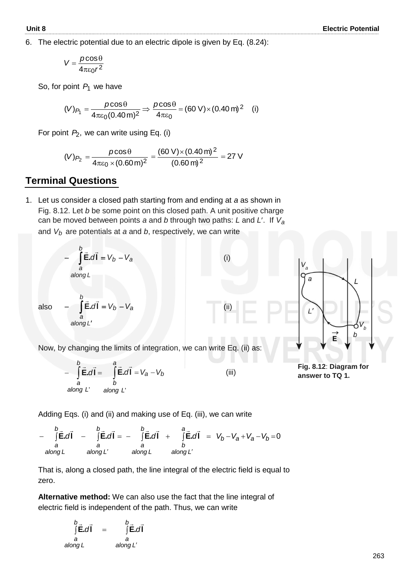6. The electric potential due to an electric dipole is given by Eq. (8.24):

$$
V = \frac{\rho \cos \theta}{4\pi \epsilon_0 r^2}
$$

So, for point  $P_1$  we have

$$
(V)_{P_1} = \frac{p \cos \theta}{4 \pi \epsilon_0 (0.40 \,\text{m})^2} \Rightarrow \frac{p \cos \theta}{4 \pi \epsilon_0} = (60 \,\text{V}) \times (0.40 \,\text{m})^2 \quad \text{(i)}
$$

For point P<sub>2</sub>, we can write using Eq. (i)

$$
(V)_{P_2} = \frac{p \cos \theta}{4\pi\varepsilon_0 \times (0.60 \,\mathrm{m})^2} = \frac{(60 \,\mathrm{V}) \times (0.40 \,\mathrm{m})^2}{(0.60 \,\mathrm{m})^2} = 27 \,\mathrm{V}
$$

### **Terminal Questions**

1. Let us consider a closed path starting from and ending at *a* as shown in Fig. 8.12. Let *b* be some point on this closed path. A unit positive charge can be moved between points *a* and *b* through two paths: *L* and *L*. If *Va* and *Vb* are potentials at *a* and *b*, respectively, we can write



$$
-\int_{a}^{b} \vec{E} \cdot d\vec{l} = \int_{b}^{a} \vec{E} \cdot d\vec{l} = V_{a} - V_{b}
$$
\n
$$
\text{along } L' \quad \text{along } L'
$$
\n(iii)

**Fig. 8.12**: **Diagram for answer to TQ 1.**

E

 $\mathbf{I}$ 

 $\boldsymbol{b}$ 

Adding Eqs. (i) and (ii) and making use of Eq. (iii), we can write

-  $\int$ E.dl -  $\int$ E.dl = -  $\int$ E.dl +  $\int$ E.dl =  $V_b - V_a + V_a - V_b = 0$ ' along L along L'  $v_b - v_a + v_a - v_b$ *a Lalong b b Lalong a b Lalong a b Lalong a d d d* **l.El.El.El.E** *VVVVd*  $\frac{1}{2}$   $\frac{1}{2}$   $\frac{1}{2}$   $\frac{1}{2}$   $\frac{1}{2}$   $\frac{1}{2}$   $\frac{1}{2}$   $\frac{1}{2}$   $\frac{1}{2}$   $\frac{1}{2}$   $\frac{1}{2}$   $\frac{1}{2}$   $\frac{1}{2}$   $\frac{1}{2}$   $\frac{1}{2}$   $\frac{1}{2}$   $\frac{1}{2}$   $\frac{1}{2}$   $\frac{1}{2}$   $\frac{1}{2}$   $\frac{1}{2}$   $\frac{1}{2}$ 

 That is, along a closed path, the line integral of the electric field is equal to zero.

 **Alternative method:** We can also use the fact that the line integral of electric field is independent of the path. Thus, we can write

$$
\int_{a}^{b} \vec{E} \cdot d\vec{l} = \int_{a}^{b} \vec{E} \cdot d\vec{l}
$$
\n
$$
\int_{a}^{a} \vec{E} \cdot d\vec{l} = \int_{a}^{a} \vec{E} \cdot d\vec{l}
$$

263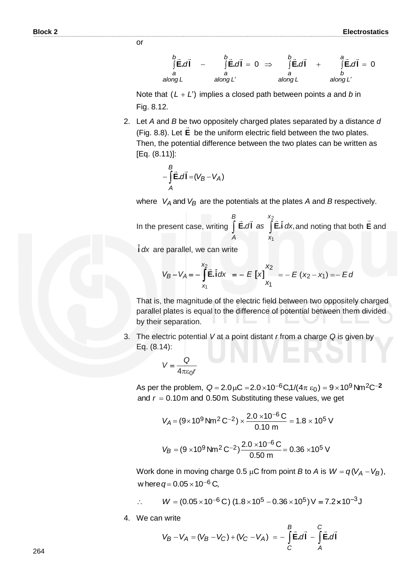$\int$ E.dI –  $\int$ E.dI = 0  $\Rightarrow$   $\int$ E.dI +  $\int$ E.dI = 0 *lalong L* along L'  $\vec{E} \cdot d\vec{l} = 0$ *Lalong b b*<sub>→</sub> *b a Lalong a*  $\tilde{}$  $\tilde{}$ E. $d\tilde{}$ *Lalong a d***l.E** *d***l.E** *d***l.E** *d***l.E**  $\frac{1}{2}$   $\frac{1}{2}$   $\frac{1}{2}$   $\frac{1}{2}$   $\frac{1}{2}$   $\frac{1}{2}$   $\frac{1}{2}$   $\frac{1}{2}$   $\frac{1}{2}$   $\frac{1}{2}$   $\frac{1}{2}$   $\frac{1}{2}$   $\frac{1}{2}$   $\frac{1}{2}$   $\frac{1}{2}$   $\frac{1}{2}$   $\frac{1}{2}$   $\frac{1}{2}$   $\frac{1}{2}$   $\frac{1}{2}$   $\frac{1}{2}$   $\frac{1}{2}$ 

Note that  $(L + L')$  implies a closed path between points *a* and *b* in Fig. 8.12.

2. Let *A* and *B* be two oppositely charged plates separated by a distance *d*  (Fig. 8.8). Let **E** be the uniform electric field between the two plates. Then, the potential difference between the two plates can be written as [Eq. (8.11)]:

$$
-\int\limits_A^B \vec{E}.\vec{dI} = (V_B - V_A)
$$

or

where  $V_A$  and  $V_B$  are the potentials at the plates *A* and *B* respectively.

In the present case, writing 
$$
\int_{A}^{B} \vec{E} \cdot d\vec{l}
$$
 as  $\int_{x_1}^{x_2} \vec{E} \cdot \hat{i} \, dx$ , and noting that both  $\vec{E}$  and

**i** *dx* ˆ are parallel, we can write

$$
V_B - V_A = -\int_{x_1}^{x_2} \vec{E} \cdot \hat{i} \, dx = -E \left[ x \right]_{x_1}^{x_2} = -E (x_2 - x_1) = -E d
$$

 That is, the magnitude of the electric field between two oppositely charged parallel plates is equal to the difference of potential between them divided by their separation.

3. The electric potential *V* at a point distant *r* from a charge *Q* is given by Eq. (8.14):

$$
V = \frac{Q}{4\pi\varepsilon_0 r}
$$

As per the problem,  $Q = 2.0\,\mu\text{C} = 2.0\times10^{-6}$ C,1/( $4\pi$   $\varepsilon_0$ ) =  $9\times10^{9}$ Nm<sup>2</sup>C<sup>-2</sup> and  $r = 0.10$ m and 0.50m. Substituting these values, we get

$$
V_A = (9 \times 10^9 \text{ Nm}^2 \text{ C}^{-2}) \times \frac{2.0 \times 10^{-6} \text{ C}}{0.10 \text{ m}} = 1.8 \times 10^5 \text{ V}
$$
  

$$
V_B = (9 \times 10^9 \text{ Nm}^2 \text{ C}^{-2}) \frac{2.0 \times 10^{-6} \text{ C}}{0.50 \text{ m}} = 0.36 \times 10^5 \text{ V}
$$

Work done in moving charge 0.5  $\mu$ C from point *B* to *A* is  $W = q(V_A - V_B)$ , w here  $q = 0.05 \times 10^{-6}$  C,

$$
\therefore \qquad W = (0.05 \times 10^{-6} \,\text{C}) \, (1.8 \times 10^{5} - 0.36 \times 10^{5}) \,\text{V} = 7.2 \times 10^{-3} \,\text{J}
$$

4. We can write

$$
V_B - V_A = (V_B - V_C) + (V_C - V_A) = -\int_C^B \vec{E} \cdot d\vec{l} - \int_A^C \vec{E} \cdot d\vec{l}
$$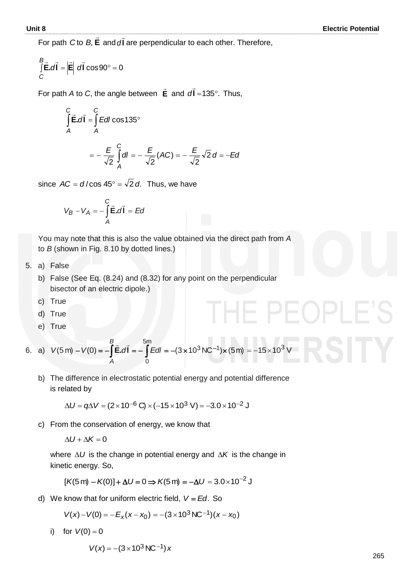For path **E**  $\ddot{\phantom{0}}$  $C$  to  $B$ , **E** and  $d$ **l** ...<br>→ *d* are perpendicular to each other. Therefore,

$$
\int_{C} \vec{E} \cdot d\vec{l} = |\vec{E}| d\vec{l} \cos 90^{\circ} = 0
$$

 For path *A* to *C*, the angle between **E**  $\rightarrow$ and  $d$ **l** =135 $^{\circ}$ .  $\overline{a}$  $d$ **l** = 135 $^{\circ}$ . Thus,

$$
\int_{A}^{C} \vec{E} \cdot d\vec{l} = \int_{A}^{C} E dl \cos 135^{\circ}
$$

$$
= -\frac{E}{\sqrt{2}} \int_{A}^{C} dl = -\frac{E}{\sqrt{2}} (AC) = -\frac{E}{\sqrt{2}} \sqrt{2} d = -Ea
$$

since  $AC = d/cos 45^\circ = \sqrt{2} d$ . Thus, we have

$$
V_B - V_A = -\int\limits_A^C \vec{E} \cdot d\vec{l} = Ed
$$

 You may note that this is also the value obtained via the direct path from *A*  to *B* (shown in Fig. 8.10 by dotted lines.)

- 5. a) False
	- b) False (See Eq. (8.24) and (8.32) for any point on the perpendicular bisector of an electric dipole.)
	- c) True
	- d) True
	- e) True

6. a)  $V(5 \text{ m}) - V(0) = -\int \vec{E} \cdot d\vec{l} = -\int E dl = -(3 \times 10^3 \text{ N C}^{-1}) \times$  $5<sub>m</sub>$ 0  $V(5 \text{ m}) - V(0) = -\int \vec{E} \cdot d\vec{l} = -\int E dl = -(3 \times 10^3 \text{ N C}^{-1}) \times (5 \text{ m})$ *B A* **l.E**  $\overline{z}$   $\overline{z}$  $=-15\times10^{3}$  V

b) The difference in electrostatic potential energy and potential difference is related by

 $\Delta U = q \Delta V = (2 \times 10^{-6} \text{ C}) \times (-15 \times 10^{3} \text{ V}) = -3.0 \times 10^{-2} \text{ J}$ 

c) From the conservation of energy, we know that

$$
\Delta U + \Delta K = 0
$$

where  $\Delta U$  is the change in potential energy and  $\Delta K$  is the change in kinetic energy. So,

$$
[K(5\,\mathrm{m}) - K(0)] + \Delta U = 0 \Longrightarrow K(5\,\mathrm{m}) = -\Delta U = 3.0 \times 10^{-2} \mathrm{J}
$$

d) We know that for uniform electric field, *V Ed*. So

$$
V(x) - V(0) = -E_x(x - x_0) = -(3 \times 10^3 \,\text{NC}^{-1})(x - x_0)
$$

i) for  $V(0)=0$ 

$$
V(x) = -(3 \times 10^3 \,\text{NC}^{-1}) \, x
$$